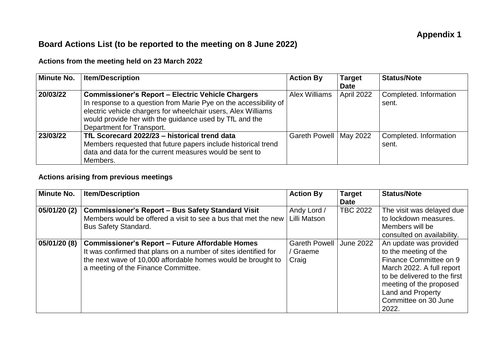## **Board Actions List (to be reported to the meeting on 8 June 2022)**

## **Actions from the meeting held on 23 March 2022**

| <b>Minute No.</b> | <b>Item/Description</b>                                                                                                                                                                                                                                                               | <b>Action By</b>         | <b>Target</b><br><b>Date</b> | <b>Status/Note</b>              |
|-------------------|---------------------------------------------------------------------------------------------------------------------------------------------------------------------------------------------------------------------------------------------------------------------------------------|--------------------------|------------------------------|---------------------------------|
| 20/03/22          | <b>Commissioner's Report - Electric Vehicle Chargers</b><br>In response to a question from Marie Pye on the accessibility of<br>electric vehicle chargers for wheelchair users, Alex Williams<br>would provide her with the guidance used by TfL and the<br>Department for Transport. | Alex Williams            | April 2022                   | Completed. Information<br>sent. |
| 23/03/22          | TfL Scorecard 2022/23 - historical trend data<br>Members requested that future papers include historical trend<br>data and data for the current measures would be sent to<br>Members.                                                                                                 | Gareth Powell   May 2022 |                              | Completed. Information<br>sent. |

## **Actions arising from previous meetings**

| <b>Minute No.</b> | <b>Item/Description</b>                                         | <b>Action By</b>     | <b>Target</b>    | <b>Status/Note</b>           |
|-------------------|-----------------------------------------------------------------|----------------------|------------------|------------------------------|
|                   |                                                                 |                      | <b>Date</b>      |                              |
| 05/01/20 (2)      | <b>Commissioner's Report - Bus Safety Standard Visit</b>        | Andy Lord /          | <b>TBC 2022</b>  | The visit was delayed due    |
|                   | Members would be offered a visit to see a bus that met the new  | Lilli Matson         |                  | to lockdown measures.        |
|                   | <b>Bus Safety Standard.</b>                                     |                      |                  | Members will be              |
|                   |                                                                 |                      |                  | consulted on availability.   |
| 05/01/20(8)       | <b>Commissioner's Report - Future Affordable Homes</b>          | <b>Gareth Powell</b> | <b>June 2022</b> | An update was provided       |
|                   | It was confirmed that plans on a number of sites identified for | Graeme               |                  | to the meeting of the        |
|                   | the next wave of 10,000 affordable homes would be brought to    | Craig                |                  | Finance Committee on 9       |
|                   | a meeting of the Finance Committee.                             |                      |                  | March 2022. A full report    |
|                   |                                                                 |                      |                  | to be delivered to the first |
|                   |                                                                 |                      |                  | meeting of the proposed      |
|                   |                                                                 |                      |                  | Land and Property            |
|                   |                                                                 |                      |                  | Committee on 30 June         |
|                   |                                                                 |                      |                  | 2022.                        |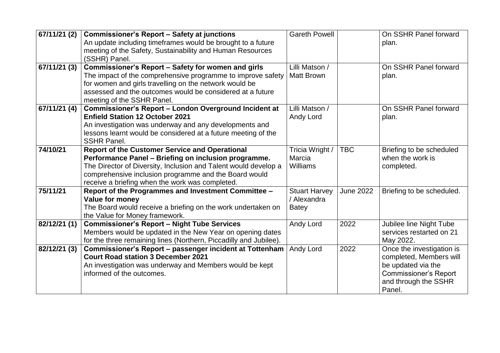| 67/11/21 (2) | <b>Commissioner's Report - Safety at junctions</b><br>An update including timeframes would be brought to a future<br>meeting of the Safety, Sustainability and Human Resources<br>(SSHR) Panel.                                                                                              | <b>Gareth Powell</b>                                |                  | On SSHR Panel forward<br>plan.                                                                                                               |
|--------------|----------------------------------------------------------------------------------------------------------------------------------------------------------------------------------------------------------------------------------------------------------------------------------------------|-----------------------------------------------------|------------------|----------------------------------------------------------------------------------------------------------------------------------------------|
| 67/11/21 (3) | Commissioner's Report - Safety for women and girls<br>The impact of the comprehensive programme to improve safety<br>for women and girls travelling on the network would be<br>assessed and the outcomes would be considered at a future<br>meeting of the SSHR Panel.                       | Lilli Matson /<br><b>Matt Brown</b>                 |                  | On SSHR Panel forward<br>plan.                                                                                                               |
| 67/11/21 (4) | Commissioner's Report - London Overground Incident at<br><b>Enfield Station 12 October 2021</b><br>An investigation was underway and any developments and<br>lessons learnt would be considered at a future meeting of the<br><b>SSHR Panel.</b>                                             | Lilli Matson /<br>Andy Lord                         |                  | On SSHR Panel forward<br>plan.                                                                                                               |
| 74/10/21     | <b>Report of the Customer Service and Operational</b><br>Performance Panel - Briefing on inclusion programme.<br>The Director of Diversity, Inclusion and Talent would develop a<br>comprehensive inclusion programme and the Board would<br>receive a briefing when the work was completed. | Tricia Wright /<br>Marcia<br>Williams               | <b>TBC</b>       | Briefing to be scheduled<br>when the work is<br>completed.                                                                                   |
| 75/11/21     | Report of the Programmes and Investment Committee -<br>Value for money<br>The Board would receive a briefing on the work undertaken on<br>the Value for Money framework.                                                                                                                     | <b>Stuart Harvey</b><br>/ Alexandra<br><b>Batey</b> | <b>June 2022</b> | Briefing to be scheduled.                                                                                                                    |
| 82/12/21 (1) | <b>Commissioner's Report - Night Tube Services</b><br>Members would be updated in the New Year on opening dates<br>for the three remaining lines (Northern, Piccadilly and Jubilee).                                                                                                         | Andy Lord                                           | 2022             | Jubilee line Night Tube<br>services restarted on 21<br>May 2022.                                                                             |
| 82/12/21 (3) | Commissioner's Report - passenger incident at Tottenham<br><b>Court Road station 3 December 2021</b><br>An investigation was underway and Members would be kept<br>informed of the outcomes.                                                                                                 | Andy Lord                                           | 2022             | Once the investigation is<br>completed, Members will<br>be updated via the<br><b>Commissioner's Report</b><br>and through the SSHR<br>Panel. |